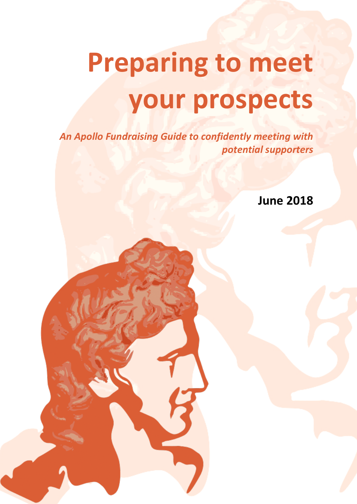# **Preparing to meet your prospects**

*An Apollo Fundraising Guide to confidently meeting with potential supporters*

**June 2018**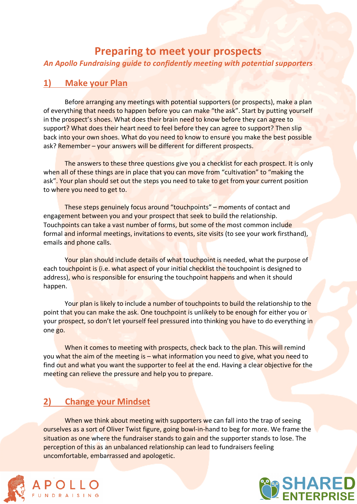#### **Preparing to meet your prospects**

*An Apollo Fundraising guide to confidently meeting with potential supporters*

#### **1) Make your Plan**

Before arranging any meetings with potential supporters (or prospects), make a plan of everything that needs to happen before you can make "the ask". Start by putting yourself in the prospect's shoes. What does their brain need to know before they can agree to support? What does their heart need to feel before they can agree to support? Then slip back into your own shoes. What do you need to know to ensure you make the best possible ask? Remember – your answers will be different for different prospects.

The answers to these three questions give you a checklist for each prospect. It is only when all of these things are in place that you can move from "cultivation" to "making the ask". Your plan should set out the steps you need to take to get from your current position to where you need to get to.

These steps genuinely focus around "touchpoints" – moments of contact and engagement between you and your prospect that seek to build the relationship. Touchpoints can take a vast number of forms, but some of the most common include formal and informal meetings, invitations to events, site visits (to see your work firsthand), emails and phone calls.

Your plan should include details of what touchpoint is needed, what the purpose of each touchpoint is (i.e. what aspect of your initial checklist the touchpoint is designed to address), who is responsible for ensuring the touchpoint happens and when it should happen.

Your plan is likely to include a number of touchpoints to build the relationship to the point that you can make the ask. One touchpoint is unlikely to be enough for either you or your prospect, so don't let yourself feel pressured into thinking you have to do everything in one go.

When it comes to meeting with prospects, check back to the plan. This will remind you what the aim of the meeting is – what information you need to give, what you need to find out and what you want the supporter to feel at the end. Having a clear objective for the meeting can relieve the pressure and help you to prepare.

#### **2) Change your Mindset**

When we think about meeting with supporters we can fall into the trap of seeing ourselves as a sort of Oliver Twist figure, going bowl-in-hand to beg for more. We frame the situation as one where the fundraiser stands to gain and the supporter stands to lose. The perception of this as an unbalanced relationship can lead to fundraisers feeling uncomfortable, embarrassed and apologetic.



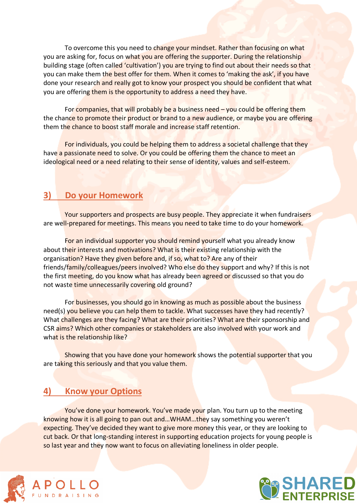To overcome this you need to change your mindset. Rather than focusing on what you are asking for, focus on what you are offering the supporter. During the relationship building stage (often called 'cultivation') you are trying to find out about their needs so that you can make them the best offer for them. When it comes to 'making the ask', if you have done your research and really got to know your prospect you should be confident that what you are offering them is the opportunity to address a need they have.

For companies, that will probably be a business need  $-$  you could be offering them the chance to promote their product or brand to a new audience, or maybe you are offering them the chance to boost staff morale and increase staff retention.

For individuals, you could be helping them to address a societal challenge that they have a passionate need to solve. Or you could be offering them the chance to meet an ideological need or a need relating to their sense of identity, values and self-esteem.

#### **3) Do your Homework**

Your supporters and prospects are busy people. They appreciate it when fundraisers are well-prepared for meetings. This means you need to take time to do your homework.

For an individual supporter you should remind yourself what you already know about their interests and motivations? What is their existing relationship with the organisation? Have they given before and, if so, what to? Are any of their friends/family/colleagues/peers involved? Who else do they support and why? If this is not the first meeting, do you know what has already been agreed or discussed so that you do not waste time unnecessarily covering old ground?

For businesses, you should go in knowing as much as possible about the business need(s) you believe you can help them to tackle. What successes have they had recently? What challenges are they facing? What are their priorities? What are their sponsorship and CSR aims? Which other companies or stakeholders are also involved with your work and what is the relationship like?

Showing that you have done your homework shows the potential supporter that you are taking this seriously and that you value them.

#### **4) Know your Options**

You've done your homework. You've made your plan. You turn up to the meeting knowing how it is all going to pan out and…WHAM…they say something you weren't expecting. They've decided they want to give more money this year, or they are looking to cut back. Or that long-standing interest in supporting education projects for young people is so last year and they now want to focus on alleviating loneliness in older people.



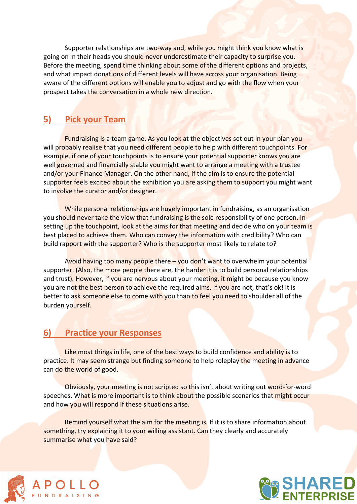Supporter relationships are two-way and, while you might think you know what is going on in their heads you should never underestimate their capacity to surprise you. Before the meeting, spend time thinking about some of the different options and projects, and what impact donations of different levels will have across your organisation. Being aware of the different options will enable you to adjust and go with the flow when your prospect takes the conversation in a whole new direction.

#### **5) Pick your Team**

Fundraising is a team game. As you look at the objectives set out in your plan you will probably realise that you need different people to help with different touchpoints. For example, if one of your touchpoints is to ensure your potential supporter knows you are well governed and financially stable you might want to arrange a meeting with a trustee and/or your Finance Manager. On the other hand, if the aim is to ensure the potential supporter feels excited about the exhibition you are asking them to support you might want to involve the curator and/or designer.

While personal relationships are hugely important in fundraising, as an organisation you should never take the view that fundraising is the sole responsibility of one person. In setting up the touchpoint, look at the aims for that meeting and decide who on your team is best placed to achieve them. Who can convey the information with credibility? Who can build rapport with the supporter? Who is the supporter most likely to relate to?

Avoid having too many people there – you don't want to overwhelm your potential supporter. (Also, the more people there are, the harder it is to build personal relationships and trust). However, if you are nervous about your meeting, it might be because you know you are not the best person to achieve the required aims. If you are not, that's ok! It is better to ask someone else to come with you than to feel you need to shoulder all of the burden yourself.

#### **6) Practice your Responses**

Like most things in life, one of the best ways to build confidence and ability is to practice. It may seem strange but finding someone to help roleplay the meeting in advance can do the world of good.

Obviously, your meeting is not scripted so this isn't about writing out word-for-word speeches. What is more important is to think about the possible scenarios that might occur and how you will respond if these situations arise.

Remind yourself what the aim for the meeting is. If it is to share information about something, try explaining it to your willing assistant. Can they clearly and accurately summarise what you have said?



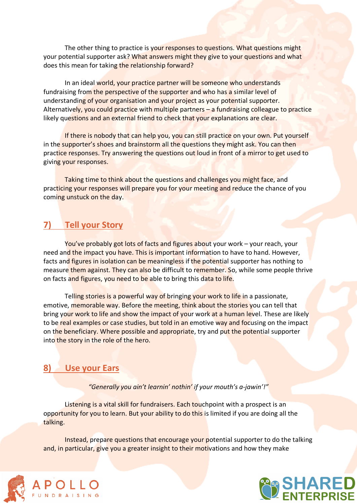The other thing to practice is your responses to questions. What questions might your potential supporter ask? What answers might they give to your questions and what does this mean for taking the relationship forward?

In an ideal world, your practice partner will be someone who understands fundraising from the perspective of the supporter and who has a similar level of understanding of your organisation and your project as your potential supporter. Alternatively, you could practice with multiple partners – a fundraising colleague to practice likely questions and an external friend to check that your explanations are clear.

If there is nobody that can help you, you can still practice on your own. Put yourself in the supporter's shoes and brainstorm all the questions they might ask. You can then practice responses. Try answering the questions out loud in front of a mirror to get used to giving your responses.

Taking time to think about the questions and challenges you might face, and practicing your responses will prepare you for your meeting and reduce the chance of you coming unstuck on the day.

#### **7) Tell your Story**

You've probably got lots of facts and figures about your work – your reach, your need and the impact you have. This is important information to have to hand. However, facts and figures in isolation can be meaningless if the potential supporter has nothing to measure them against. They can also be difficult to remember. So, while some people thrive on facts and figures, you need to be able to bring this data to life.

Telling stories is a powerful way of bringing your work to life in a passionate, emotive, memorable way. Before the meeting, think about the stories you can tell that bring your work to life and show the impact of your work at a human level. These are likely to be real examples or case studies, but told in an emotive way and focusing on the impact on the beneficiary. Where possible and appropriate, try and put the potential supporter into the story in the role of the hero.

#### **8) Use your Ears**

*"Generally you ain't learnin' nothin' if your mouth's a-jawin'!"*

Listening is a vital skill for fundraisers. Each touchpoint with a prospect is an opportunity for you to learn. But your ability to do this is limited if you are doing all the talking.

Instead, prepare questions that encourage your potential supporter to do the talking and, in particular, give you a greater insight to their motivations and how they make



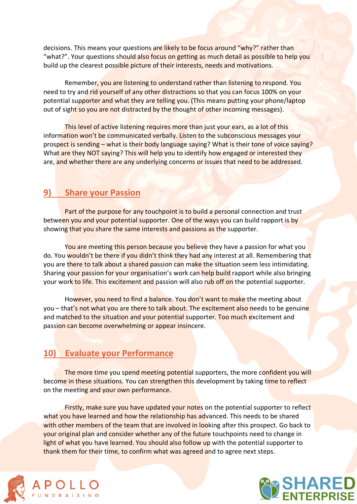decisions. This means your questions are likely to be focus around "why?" rather than "what?". Your questions should also focus on getting as much detail as possible to help you build up the clearest possible picture of their interests, needs and motivations.

Remember, you are listening to understand rather than listening to respond. You need to try and rid yourself of any other distractions so that you can focus 100% on your potential supporter and what they are telling you. (This means putting your phone/laptop out of sight so you are not distracted by the thought of other incoming messages).

This level of active listening requires more than just your ears, as a lot of this information won't be communicated verbally. Listen to the subconscious messages your prospect is sending – what is their body language saying? What is their tone of voice saying? What are they NOT saying? This will help you to identify how engaged or interested they are, and whether there are any underlying concerns or issues that need to be addressed.

#### **9) Share your Passion**

Part of the purpose for any touchpoint is to build a personal connection and trust between you and your potential supporter. One of the ways you can build rapport is by showing that you share the same interests and passions as the supporter.

You are meeting this person because you believe they have a passion for what you do. You wouldn't be there if you didn't think they had any interest at all. Remembering that you are there to talk about a shared passion can make the situation seem less intimidating. Sharing your passion for your organisation's work can help build rapport while also bringing your work to life. This excitement and passion will also rub off on the potential supporter.

However, you need to find a balance. You don't want to make the meeting about you – that's not what you are there to talk about. The excitement also needs to be genuine and matched to the situation and your potential supporter. Too much excitement and passion can become overwhelming or appear insincere.

#### **10) Evaluate your Performance**

The more time you spend meeting potential supporters, the more confident you will become in these situations. You can strengthen this development by taking time to reflect on the meeting and your own performance.

Firstly, make sure you have updated your notes on the potential supporter to reflect what you have learned and how the relationship has advanced. This needs to be shared with other members of the team that are involved in looking after this prospect. Go back to your original plan and consider whether any of the future touchpoints need to change in light of what you have learned. You should also follow up with the potential supporter to thank them for their time, to confirm what was agreed and to agree next steps.